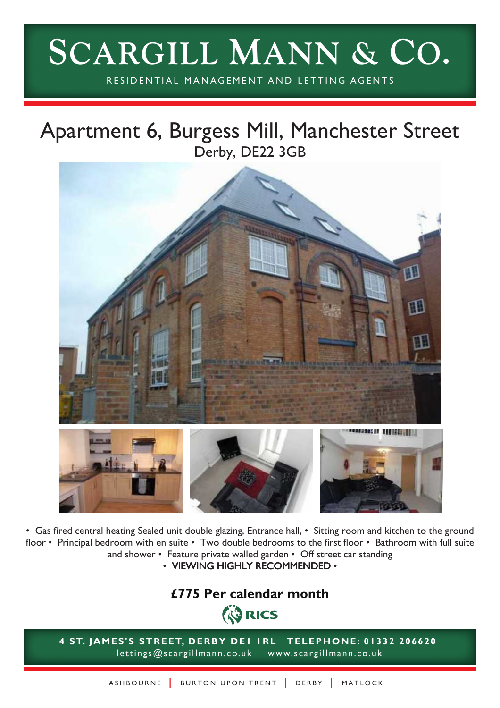# **SCARGILL MANN & CO.**

RESIDENTIAL MANAGEMENT AND LETTING AGENTS

# Apartment 6, Burgess Mill, Manchester Street Derby, DE22 3GB



• Gas fired central heating Sealed unit double glazing, Entrance hall, • Sitting room and kitchen to the ground floor • Principal bedroom with en suite • Two double bedrooms to the first floor • Bathroom with full suite and shower • Feature private walled garden • Off street car standing

• VIEWING HIGHLY RECOMMENDED •

# **£775 Per calendar monthED RICS**

**4 ST. JAMES'S STREET, DERBY DE1 1RL TELEPHONE: 01332 206620** lettings@scargillmann.co.uk www.scargillmann.co.uk